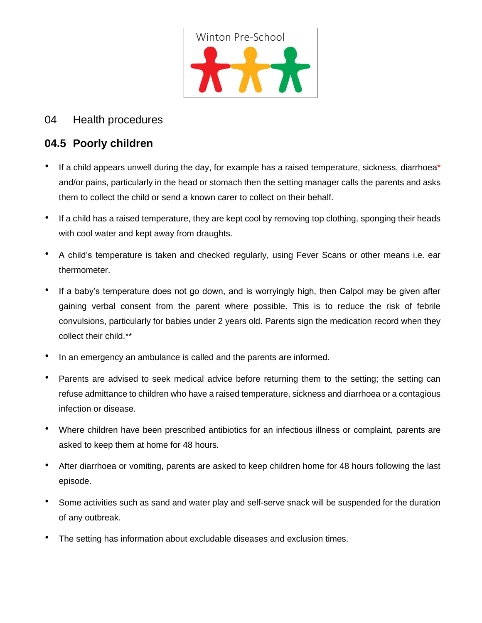

# 04 Health procedures

# **04.5 Poorly children**

- If a child appears unwell during the day, for example has a raised temperature, sickness, diarrhoea\* and/or pains, particularly in the head or stomach then the setting manager calls the parents and asks them to collect the child or send a known carer to collect on their behalf.
- If a child has a raised temperature, they are kept cool by removing top clothing, sponging their heads with cool water and kept away from draughts.
- A child's temperature is taken and checked regularly, using Fever Scans or other means i.e. ear thermometer.
- If a baby's temperature does not go down, and is worryingly high, then Calpol may be given after gaining verbal consent from the parent where possible. This is to reduce the risk of febrile convulsions, particularly for babies under 2 years old. Parents sign the medication record when they collect their child.\*\*
- In an emergency an ambulance is called and the parents are informed.
- Parents are advised to seek medical advice before returning them to the setting; the setting can refuse admittance to children who have a raised temperature, sickness and diarrhoea or a contagious infection or disease.
- Where children have been prescribed antibiotics for an infectious illness or complaint, parents are asked to keep them at home for 48 hours.
- After diarrhoea or vomiting, parents are asked to keep children home for 48 hours following the last episode.
- Some activities such as sand and water play and self-serve snack will be suspended for the duration of any outbreak.
- The setting has information about excludable diseases and exclusion times.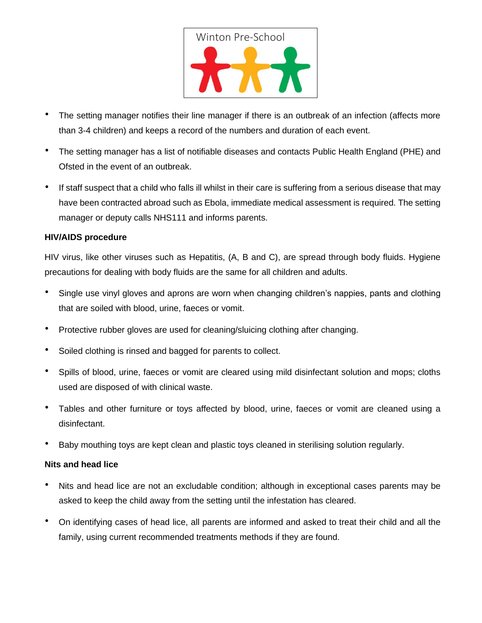

- The setting manager notifies their line manager if there is an outbreak of an infection (affects more than 3-4 children) and keeps a record of the numbers and duration of each event.
- The setting manager has a list of notifiable diseases and contacts Public Health England (PHE) and Ofsted in the event of an outbreak.
- If staff suspect that a child who falls ill whilst in their care is suffering from a serious disease that may have been contracted abroad such as Ebola, immediate medical assessment is required. The setting manager or deputy calls NHS111 and informs parents.

#### **HIV/AIDS procedure**

HIV virus, like other viruses such as Hepatitis, (A, B and C), are spread through body fluids. Hygiene precautions for dealing with body fluids are the same for all children and adults.

- Single use vinyl gloves and aprons are worn when changing children's nappies, pants and clothing that are soiled with blood, urine, faeces or vomit.
- Protective rubber gloves are used for cleaning/sluicing clothing after changing.
- Soiled clothing is rinsed and bagged for parents to collect.
- Spills of blood, urine, faeces or vomit are cleared using mild disinfectant solution and mops; cloths used are disposed of with clinical waste.
- Tables and other furniture or toys affected by blood, urine, faeces or vomit are cleaned using a disinfectant.
- Baby mouthing toys are kept clean and plastic toys cleaned in sterilising solution regularly.

#### **Nits and head lice**

- Nits and head lice are not an excludable condition; although in exceptional cases parents may be asked to keep the child away from the setting until the infestation has cleared.
- On identifying cases of head lice, all parents are informed and asked to treat their child and all the family, using current recommended treatments methods if they are found.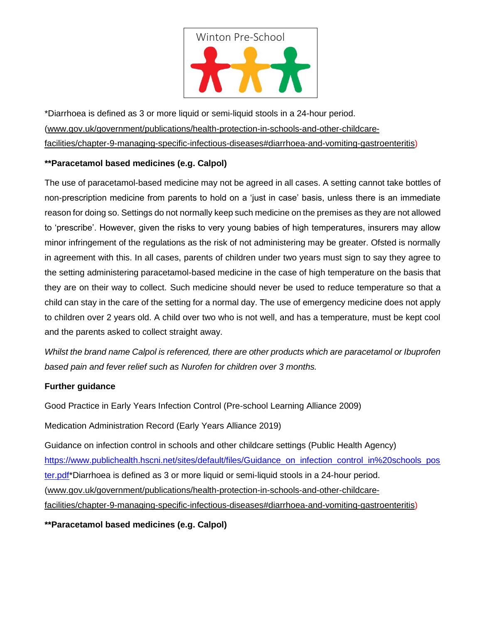

\*Diarrhoea is defined as 3 or more liquid or semi-liquid stools in a 24-hour period. [\(www.gov.uk/government/publications/health-protection-in-schools-and-other-childcare](http://www.gov.uk/government/publications/health-protection-in-schools-and-other-childcare-facilities/chapter-9-managing-specific-infectious-diseases#diarrhoea-and-vomiting-gastroenteritis)[facilities/chapter-9-managing-specific-infectious-diseases#diarrhoea-and-vomiting-gastroenteritis\)](http://www.gov.uk/government/publications/health-protection-in-schools-and-other-childcare-facilities/chapter-9-managing-specific-infectious-diseases#diarrhoea-and-vomiting-gastroenteritis)

## **\*\*Paracetamol based medicines (e.g. Calpol)**

The use of paracetamol-based medicine may not be agreed in all cases. A setting cannot take bottles of non-prescription medicine from parents to hold on a 'just in case' basis, unless there is an immediate reason for doing so. Settings do not normally keep such medicine on the premises as they are not allowed to 'prescribe'. However, given the risks to very young babies of high temperatures, insurers may allow minor infringement of the regulations as the risk of not administering may be greater. Ofsted is normally in agreement with this. In all cases, parents of children under two years must sign to say they agree to the setting administering paracetamol-based medicine in the case of high temperature on the basis that they are on their way to collect. Such medicine should never be used to reduce temperature so that a child can stay in the care of the setting for a normal day. The use of emergency medicine does not apply to children over 2 years old. A child over two who is not well, and has a temperature, must be kept cool and the parents asked to collect straight away.

*Whilst the brand name Calpol is referenced, there are other products which are paracetamol or Ibuprofen based pain and fever relief such as Nurofen for children over 3 months.* 

### **Further guidance**

Good Practice in Early Years Infection Control (Pre-school Learning Alliance 2009)

Medication Administration Record (Early Years Alliance 2019)

Guidance on infection control in schools and other childcare settings (Public Health Agency) [https://www.publichealth.hscni.net/sites/default/files/Guidance\\_on\\_infection\\_control\\_in%20schools\\_pos](https://www.publichealth.hscni.net/sites/default/files/Guidance_on_infection_control_in%20schools_poster.pdf) [ter.pdf\\*](https://www.publichealth.hscni.net/sites/default/files/Guidance_on_infection_control_in%20schools_poster.pdf)Diarrhoea is defined as 3 or more liquid or semi-liquid stools in a 24-hour period. [\(www.gov.uk/government/publications/health-protection-in-schools-and-other-childcare](http://www.gov.uk/government/publications/health-protection-in-schools-and-other-childcare-facilities/chapter-9-managing-specific-infectious-diseases#diarrhoea-and-vomiting-gastroenteritis)[facilities/chapter-9-managing-specific-infectious-diseases#diarrhoea-and-vomiting-gastroenteritis\)](http://www.gov.uk/government/publications/health-protection-in-schools-and-other-childcare-facilities/chapter-9-managing-specific-infectious-diseases#diarrhoea-and-vomiting-gastroenteritis)

**\*\*Paracetamol based medicines (e.g. Calpol)**